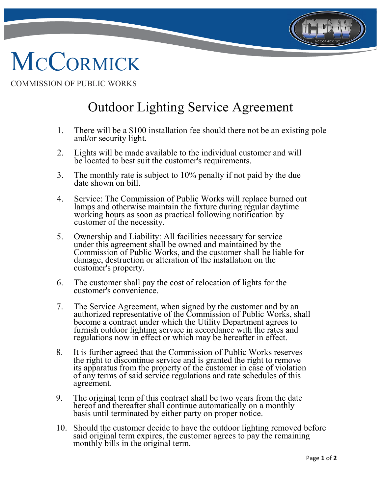

## **MCCORMICK**

ī

COMMISSION OF PUBLIC WORKS

## Outdoor Lighting Service Agreement

- 1. There will be a \$100 installation fee should there not be an existing pole and/or security light.
- 2. Lights will be made available to the individual customer and will be located to best suit the customer's requirements.
- 3. The monthly rate is subject to 10% penalty if not paid by the due date shown on bill.
- 4. Service: The Commission of Public Works will replace burned out lamps and otherwise maintain the fixture during regular daytime working hours as soon as practical following notification by customer of the necessity.
- 5. Ownership and Liability: All facilities necessary for service under this agreement shall be owned and maintained by the Commission of Public Works, and the customer shall be liable for damage, destruction or alteration of the installation on the customer's property.
- 6. The customer shall pay the cost of relocation of lights for the customer's convenience.
- 7. The Service Agreement, when signed by the customer and by an authorized representative of the Commission of Public Works, shall become a contract under which the Utility Department agrees to furnish outdoor lighting service in accordance with the rates and regulations now in effect or which may be hereafter in effect.
- 8. It is further agreed that the Commission of Public Works reserves the right to discontinue service and is granted the right to remove its apparatus from the property of the customer in case of violation of any terms of said service regulations and rate schedules of this agreement.
- 9. The original term of this contract shall be two years from the date hereof and thereafter shall continue automatically on a monthly basis until terminated by either party on proper notice.
- 10. Should the customer decide to have the outdoor lighting removed before said original term expires, the customer agrees to pay the remaining monthly bills in the original term.